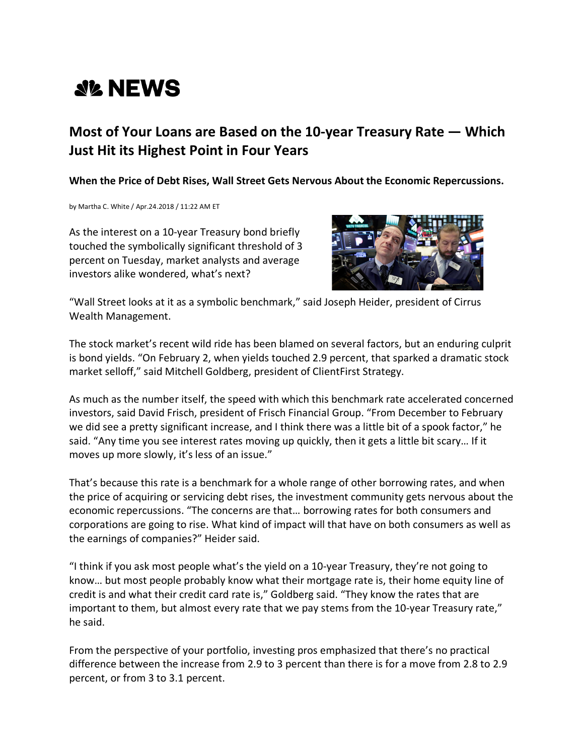## **SIL NEWS**

## **Most of Your Loans are Based on the 10-year Treasury Rate — Which Just Hit its Highest Point in Four Years**

**When the Price of Debt Rises, Wall Street Gets Nervous About the Economic Repercussions.**

by Martha C. White / Apr.24.2018 / 11:22 AM ET

As the interest on a 10-year Treasury bond briefly touched the symbolically significant threshold of 3 percent on Tuesday, market analysts and average investors alike wondered, what's next?



"Wall Street looks at it as a symbolic benchmark," said Joseph Heider, president of Cirrus Wealth Management.

The stock market's recent wild ride has been blamed on several factors, but an enduring culprit is bond yields. "On February 2, when yields touched 2.9 percent, that sparked a dramatic stock market selloff," said Mitchell Goldberg, president of ClientFirst Strategy.

As much as the number itself, the speed with which this benchmark rate accelerated concerned investors, said David Frisch, president of Frisch Financial Group. "From December to February we did see a pretty significant increase, and I think there was a little bit of a spook factor," he said. "Any time you see interest rates moving up quickly, then it gets a little bit scary… If it moves up more slowly, it's less of an issue."

That's because this rate is a benchmark for a whole range of other borrowing rates, and when the price of acquiring or servicing debt rises, the investment community gets nervous about the economic repercussions. "The concerns are that… borrowing rates for both consumers and corporations are going to rise. What kind of impact will that have on both consumers as well as the earnings of companies?" Heider said.

"I think if you ask most people what's the yield on a 10-year Treasury, they're not going to know… but most people probably know what their mortgage rate is, their home equity line of credit is and what their credit card rate is," Goldberg said. "They know the rates that are important to them, but almost every rate that we pay stems from the 10-year Treasury rate," he said.

From the perspective of your portfolio, investing pros emphasized that there's no practical difference between the increase from 2.9 to 3 percent than there is for a move from 2.8 to 2.9 percent, or from 3 to 3.1 percent.